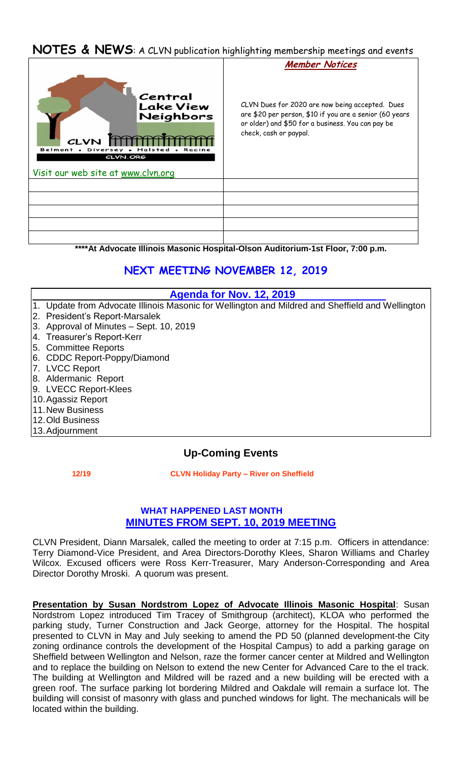## **NOTES & NEWS**: A CLVN publication highlighting membership meetings and events



**\*\*\*\*At Advocate Illinois Masonic Hospital-Olson Auditorium-1st Floor, 7:00 p.m.**

# **NEXT MEETING NOVEMBER 12, 2019**

### **Agenda for Nov. 12, 2019**

- 1. Update from Advocate Illinois Masonic for Wellington and Mildred and Sheffield and Wellington
- 2. President's Report-Marsalek
- 3. Approval of Minutes Sept. 10, 2019
- 4. Treasurer's Report-Kerr
- 5. Committee Reports
- 6. CDDC Report-Poppy/Diamond
- 7. LVCC Report
- 8. Aldermanic Report
- 9. LVECC Report-Klees
- 10.Agassiz Report
- 11.New Business
- 12.Old Business
- 13.Adjournment

## **Up-Coming Events**

 **12/19 CLVN Holiday Party – River on Sheffield** 

### **WHAT HAPPENED LAST MONTH MINUTES FROM SEPT. 10, 2019 MEETING**

CLVN President, Diann Marsalek, called the meeting to order at 7:15 p.m. Officers in attendance: Terry Diamond-Vice President, and Area Directors-Dorothy Klees, Sharon Williams and Charley Wilcox. Excused officers were Ross Kerr-Treasurer, Mary Anderson-Corresponding and Area Director Dorothy Mroski. A quorum was present.

**Presentation by Susan Nordstrom Lopez of Advocate Illinois Masonic Hospital**: Susan Nordstrom Lopez introduced Tim Tracey of Smithgroup (architect), KLOA who performed the parking study, Turner Construction and Jack George, attorney for the Hospital. The hospital presented to CLVN in May and July seeking to amend the PD 50 (planned development-the City zoning ordinance controls the development of the Hospital Campus) to add a parking garage on Sheffield between Wellington and Nelson, raze the former cancer center at Mildred and Wellington and to replace the building on Nelson to extend the new Center for Advanced Care to the el track. The building at Wellington and Mildred will be razed and a new building will be erected with a green roof. The surface parking lot bordering Mildred and Oakdale will remain a surface lot. The building will consist of masonry with glass and punched windows for light. The mechanicals will be located within the building.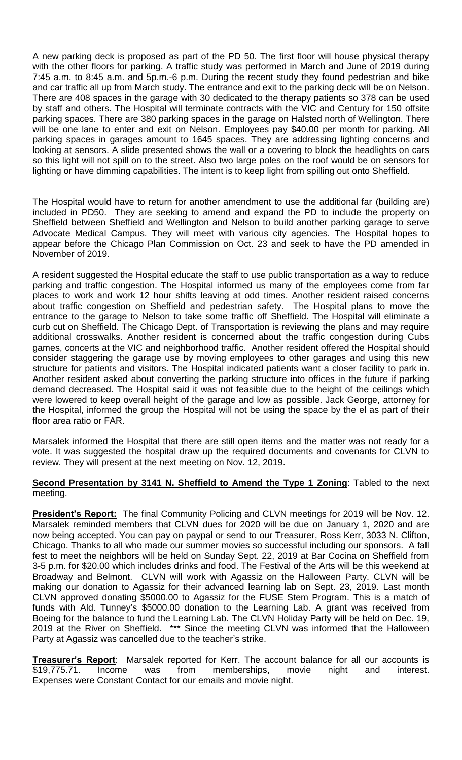A new parking deck is proposed as part of the PD 50. The first floor will house physical therapy with the other floors for parking. A traffic study was performed in March and June of 2019 during 7:45 a.m. to 8:45 a.m. and 5p.m.-6 p.m. During the recent study they found pedestrian and bike and car traffic all up from March study. The entrance and exit to the parking deck will be on Nelson. There are 408 spaces in the garage with 30 dedicated to the therapy patients so 378 can be used by staff and others. The Hospital will terminate contracts with the VIC and Century for 150 offsite parking spaces. There are 380 parking spaces in the garage on Halsted north of Wellington. There will be one lane to enter and exit on Nelson. Employees pay \$40.00 per month for parking. All parking spaces in garages amount to 1645 spaces. They are addressing lighting concerns and looking at sensors. A slide presented shows the wall or a covering to block the headlights on cars so this light will not spill on to the street. Also two large poles on the roof would be on sensors for lighting or have dimming capabilities. The intent is to keep light from spilling out onto Sheffield.

The Hospital would have to return for another amendment to use the additional far (building are) included in PD50. They are seeking to amend and expand the PD to include the property on Sheffield between Sheffield and Wellington and Nelson to build another parking garage to serve Advocate Medical Campus. They will meet with various city agencies. The Hospital hopes to appear before the Chicago Plan Commission on Oct. 23 and seek to have the PD amended in November of 2019.

A resident suggested the Hospital educate the staff to use public transportation as a way to reduce parking and traffic congestion. The Hospital informed us many of the employees come from far places to work and work 12 hour shifts leaving at odd times. Another resident raised concerns about traffic congestion on Sheffield and pedestrian safety. The Hospital plans to move the entrance to the garage to Nelson to take some traffic off Sheffield. The Hospital will eliminate a curb cut on Sheffield. The Chicago Dept. of Transportation is reviewing the plans and may require additional crosswalks. Another resident is concerned about the traffic congestion during Cubs games, concerts at the VIC and neighborhood traffic. Another resident offered the Hospital should consider staggering the garage use by moving employees to other garages and using this new structure for patients and visitors. The Hospital indicated patients want a closer facility to park in. Another resident asked about converting the parking structure into offices in the future if parking demand decreased. The Hospital said it was not feasible due to the height of the ceilings which were lowered to keep overall height of the garage and low as possible. Jack George, attorney for the Hospital, informed the group the Hospital will not be using the space by the el as part of their floor area ratio or FAR.

Marsalek informed the Hospital that there are still open items and the matter was not ready for a vote. It was suggested the hospital draw up the required documents and covenants for CLVN to review. They will present at the next meeting on Nov. 12, 2019.

#### **Second Presentation by 3141 N. Sheffield to Amend the Type 1 Zoning:** Tabled to the next meeting.

**President's Report:** The final Community Policing and CLVN meetings for 2019 will be Nov. 12. Marsalek reminded members that CLVN dues for 2020 will be due on January 1, 2020 and are now being accepted. You can pay on paypal or send to our Treasurer, Ross Kerr, 3033 N. Clifton, Chicago. Thanks to all who made our summer movies so successful including our sponsors. A fall fest to meet the neighbors will be held on Sunday Sept. 22, 2019 at Bar Cocina on Sheffield from 3-5 p.m. for \$20.00 which includes drinks and food. The Festival of the Arts will be this weekend at Broadway and Belmont. CLVN will work with Agassiz on the Halloween Party. CLVN will be making our donation to Agassiz for their advanced learning lab on Sept. 23, 2019. Last month CLVN approved donating \$5000.00 to Agassiz for the FUSE Stem Program. This is a match of funds with Ald. Tunney's \$5000.00 donation to the Learning Lab. A grant was received from Boeing for the balance to fund the Learning Lab. The CLVN Holiday Party will be held on Dec. 19, 2019 at the River on Sheffield. \*\*\* Since the meeting CLVN was informed that the Halloween Party at Agassiz was cancelled due to the teacher's strike.

**Treasurer's Report**: Marsalek reported for Kerr. The account balance for all our accounts is \$19,775.71. Income was from memberships, movie night and interest. Expenses were Constant Contact for our emails and movie night.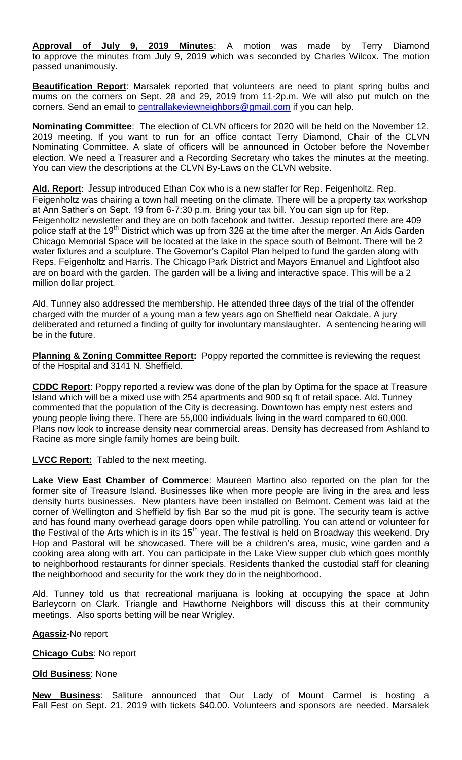**Approval of July 9, 2019 Minutes**: A motion was made by Terry Diamond to approve the minutes from July 9, 2019 which was seconded by Charles Wilcox. The motion passed unanimously.

**Beautification Report**: Marsalek reported that volunteers are need to plant spring bulbs and mums on the corners on Sept. 28 and 29, 2019 from 11-2p.m. We will also put mulch on the corners. Send an email to [centrallakeviewneighbors@gmail.com](mailto:centrallakeviewneighbors@gmail.com) if you can help.

**Nominating Committee**: The election of CLVN officers for 2020 will be held on the November 12, 2019 meeting. If you want to run for an office contact Terry Diamond, Chair of the CLVN Nominating Committee. A slate of officers will be announced in October before the November election. We need a Treasurer and a Recording Secretary who takes the minutes at the meeting. You can view the descriptions at the CLVN By-Laws on the CLVN website.

**Ald. Report**: Jessup introduced Ethan Cox who is a new staffer for Rep. Feigenholtz. Rep. Feigenholtz was chairing a town hall meeting on the climate. There will be a property tax workshop at Ann Sather's on Sept. 19 from 6-7:30 p.m. Bring your tax bill. You can sign up for Rep. Feigenholtz newsletter and they are on both facebook and twitter. Jessup reported there are 409 police staff at the 19<sup>th</sup> District which was up from 326 at the time after the merger. An Aids Garden Chicago Memorial Space will be located at the lake in the space south of Belmont. There will be 2 water fixtures and a sculpture. The Governor's Capitol Plan helped to fund the garden along with Reps. Feigenholtz and Harris. The Chicago Park District and Mayors Emanuel and Lightfoot also are on board with the garden. The garden will be a living and interactive space. This will be a 2 million dollar project.

Ald. Tunney also addressed the membership. He attended three days of the trial of the offender charged with the murder of a young man a few years ago on Sheffield near Oakdale. A jury deliberated and returned a finding of guilty for involuntary manslaughter. A sentencing hearing will be in the future.

**Planning & Zoning Committee Report:** Poppy reported the committee is reviewing the request of the Hospital and 3141 N. Sheffield.

**CDDC Report**: Poppy reported a review was done of the plan by Optima for the space at Treasure Island which will be a mixed use with 254 apartments and 900 sq ft of retail space. Ald. Tunney commented that the population of the City is decreasing. Downtown has empty nest esters and young people living there. There are 55,000 individuals living in the ward compared to 60,000. Plans now look to increase density near commercial areas. Density has decreased from Ashland to Racine as more single family homes are being built.

**LVCC Report:** Tabled to the next meeting.

**Lake View East Chamber of Commerce**: Maureen Martino also reported on the plan for the former site of Treasure Island. Businesses like when more people are living in the area and less density hurts businesses. New planters have been installed on Belmont. Cement was laid at the corner of Wellington and Sheffield by fish Bar so the mud pit is gone. The security team is active and has found many overhead garage doors open while patrolling. You can attend or volunteer for the Festival of the Arts which is in its  $15<sup>th</sup>$  year. The festival is held on Broadway this weekend. Dry Hop and Pastoral will be showcased. There will be a children's area, music, wine garden and a cooking area along with art. You can participate in the Lake View supper club which goes monthly to neighborhood restaurants for dinner specials. Residents thanked the custodial staff for cleaning the neighborhood and security for the work they do in the neighborhood.

Ald. Tunney told us that recreational marijuana is looking at occupying the space at John Barleycorn on Clark. Triangle and Hawthorne Neighbors will discuss this at their community meetings. Also sports betting will be near Wrigley.

**Agassiz**-No report

**Chicago Cubs**: No report

**Old Business**: None

**New Business**: Saliture announced that Our Lady of Mount Carmel is hosting a Fall Fest on Sept. 21, 2019 with tickets \$40.00. Volunteers and sponsors are needed. Marsalek